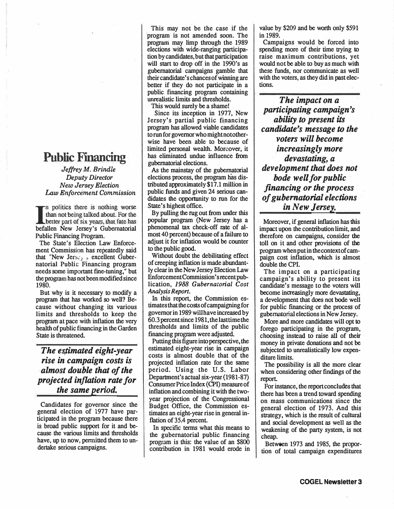## **Public Financing**

*Jeffrey M. Brindle Deputy Director New Jersey Election Law Enforcement Commission* 

In politics there is nothing worse<br>than not being talked about. For the<br>better part of six years, that fate has<br>befallen New Jersey's Gubernatorial n politics there is nothing worse than not being talked about. For the better part of six years, that fate has Public Financing Program.

The State's Election Law Enforcement Commission has repeatedly said that "New Jerse.<sub>1</sub>  $\sigma$  excellent Gubernatorial Public Financing program needs some important fine-tuning," but the program has not been modified since 1980.

But why is it necessary to modify a program that has worked so well? Because without changing its various limits and thresholds to keep the program at pace with inflation the very health of public financing in the Garden State is threatened.

*The esfimated eight-year rise in campaign costs is ·almost double that of the projected inflation rate for the same period.* 

Candidates for governor since the general election of 1977 have participated in the program because there is broad public support for it and because the various limits and thresholds have, up to now, permitted them to undertake serious campaigns.

This may not be the case if the program is not amended soon. The program may limp through the 1989 elections with wide-ranging participation by candidates, but that participation will start to drop off in the 1990's as gubernatorial campaigns gamble that their candidate's chances of winning are better if they do not participate in a unrealistic limits and thresholds. public financing program containing

This would surely be a shame!

Since its inception in 1977, New Jersey's partial public financing program has allowed viable candidates to run for governor who might not otherwise have been able to because of limited personal wealth. Moreover, it has eliminated undue influence from gubernatorial elections.

As the mainstay of the gubernatorial elections process, the program has distributed approximately \$17 .1 million in public funds and given 24 serious candidates the opportunity to run for the State's highest office.

By pulling the rug out from under this popular program (New Jersey has a phenomenal tax check-off rate of almost 40 percent) because of a failure to adjust it for inflation would be counter to the public good.

Without doubt the debilitating effect of creeping inflation is made abundantly clear in the New Jersey Election Law Enforcement Commission's recent publication, *1988 Gubernatorial Cost Analysis Report.* 

In this report, the Commission estimates that the costs of campaigning for governor in 1989 will have increased by 60.3 percent since 1981, the last time the thresholds and limits of the public financing program were adjusted.

Putting this figure into perspective, the estimated eight-year rise in campaign costs is almost double that of the projected inflation rate for the same period. Using the U.S. Labor Department's actual six-year (1981-87) Consumer Price Index (CPI) measure of inflation and combining it with the twoyear projection of the Congressional Budget Office, the Commission estimates an eight-year rise in general inflation of 35.4 percent.

In specific terms what this means to the gubernatorial public financing program is this: the value of an \$800 contribution in 1981 would erode in value by \$209 and be worth only \$591 in 1989.

Campaigns would be forced into spending more of their time trying to raise maximum contributions, yet would not be able to buy as much with these funds, nor communicate as well with the voters, as they did in past elections.

*The impact on a participating campaign's ability to present its candidate's message to the voters will become \_increasingly more· devastating, a development that does not bode well for public financing or the process of gubernatorial elections in New Jersey.* 

Moreover, if general inflation has this impact upon the contribution limit, and therefore on campaigns, consider the toll on it and other provisions of the program when put in the context of campaign cost inflation, which is almost double the CPI.

The impact on a participating campaign's ability to present its candidate's message to the voters will become increasingly more devastating, a development that does not bode well for public financing or the process of gubernatorial elections in New Jersey.

More and more candidates will opt to forego participating in the program, choosing instead to raise all of their money in private donations and not be subjected to unrealistically low expenditure limits.

The possibility is all the more clear when considering other findings of the report

For instance, the report concludes that there has been a trend toward spending on mass communications since the general election of 1973. And this strategy, which is the result of cultural and social development as well as the weakening of the party system, is not cheap.

Between 1973 and 1985, the proportion of total campaign expenditures